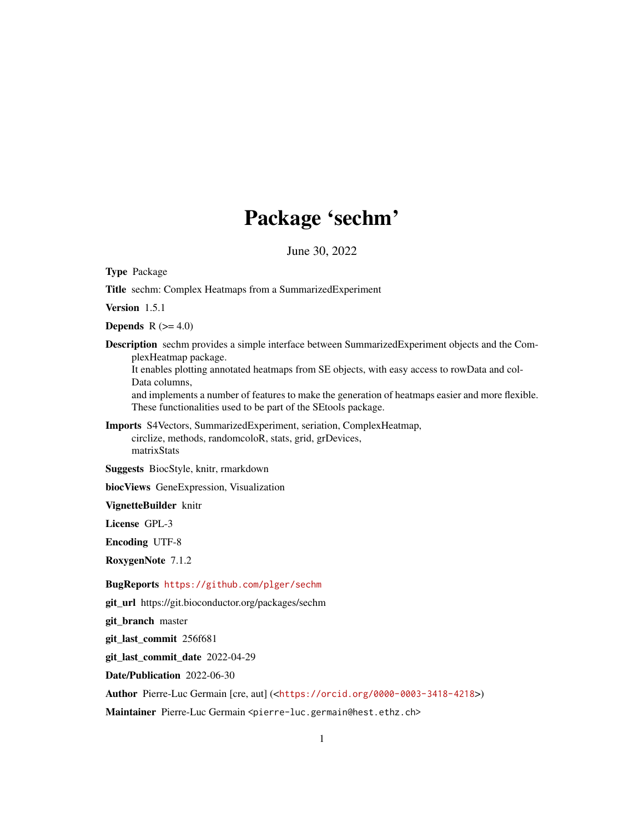# Package 'sechm'

June 30, 2022

<span id="page-0-0"></span>Type Package

Title sechm: Complex Heatmaps from a SummarizedExperiment

Version 1.5.1

Depends  $R$  ( $>= 4.0$ )

Description sechm provides a simple interface between SummarizedExperiment objects and the ComplexHeatmap package.

It enables plotting annotated heatmaps from SE objects, with easy access to rowData and col-Data columns,

and implements a number of features to make the generation of heatmaps easier and more flexible. These functionalities used to be part of the SEtools package.

Imports S4Vectors, SummarizedExperiment, seriation, ComplexHeatmap, circlize, methods, randomcoloR, stats, grid, grDevices, matrixStats

Suggests BiocStyle, knitr, rmarkdown

biocViews GeneExpression, Visualization

VignetteBuilder knitr

License GPL-3

Encoding UTF-8

RoxygenNote 7.1.2

BugReports <https://github.com/plger/sechm>

git\_url https://git.bioconductor.org/packages/sechm

git\_branch master

git\_last\_commit 256f681

git\_last\_commit\_date 2022-04-29

Date/Publication 2022-06-30

Author Pierre-Luc Germain [cre, aut] (<<https://orcid.org/0000-0003-3418-4218>>)

Maintainer Pierre-Luc Germain <pierre-luc.germain@hest.ethz.ch>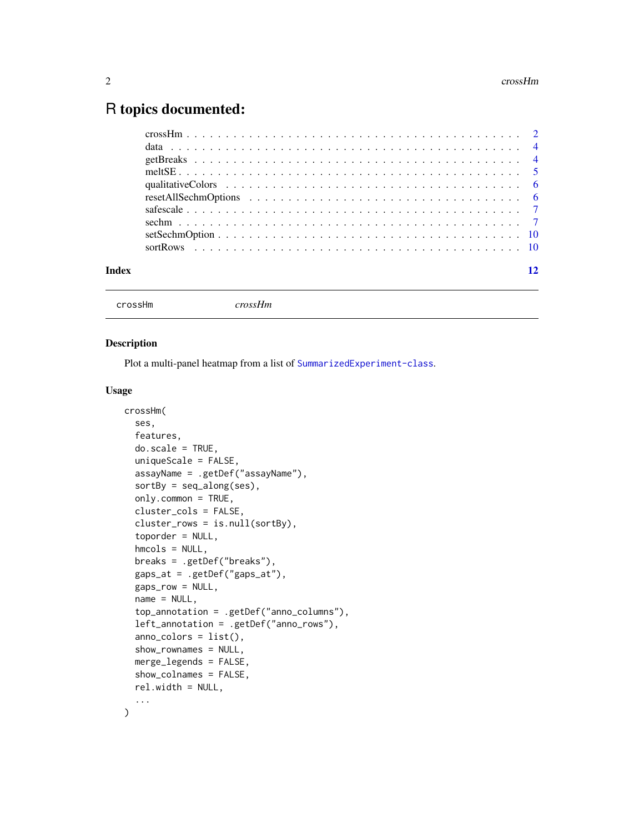# <span id="page-1-0"></span>R topics documented:

| Index |  |
|-------|--|
|       |  |

```
crossHm crossHm
```
#### Description

Plot a multi-panel heatmap from a list of [SummarizedExperiment-class](#page-0-0).

#### Usage

```
crossHm(
  ses,
  features,
  do.scale = TRUE,
  uniqueScale = FALSE,
  assayName = .getDef("assayName"),
  sortBy = seq_along(ses),
  only.common = TRUE,
  cluster_cols = FALSE,
  cluster_rows = is.null(sortBy),
  toporder = NULL,
  hmcols = NULL,
  breaks = .getDef("breaks"),
  gaps_at = .getDef("gaps_at"),
  gaps_row = NULL,
  name = NULL,top_annotation = .getDef("anno_columns"),
  left_annotation = .getDef("anno_rows"),
  anno_colors = list(),
  show_rownames = NULL,
 merge_legends = FALSE,
  show_colnames = FALSE,
  rel.width = NULL,
  ...
\mathcal{L}
```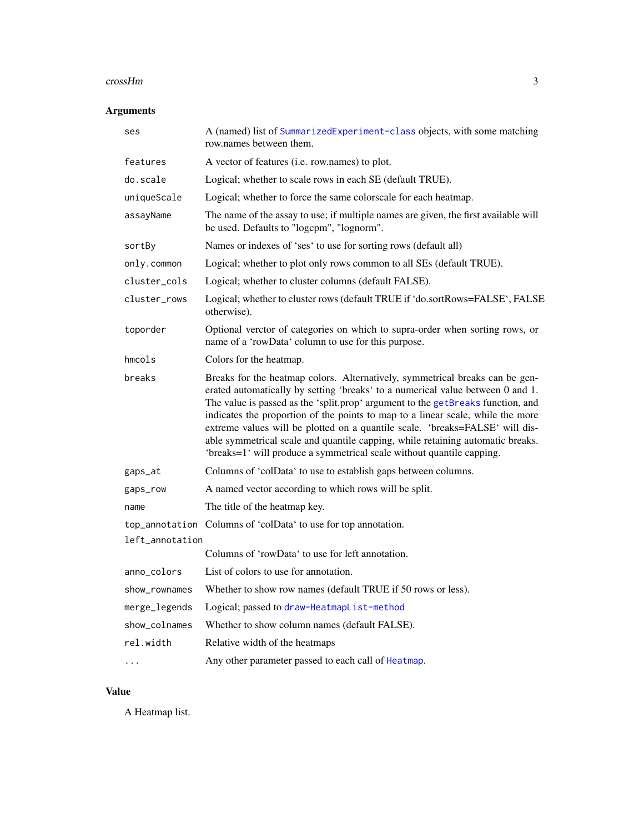#### <span id="page-2-0"></span>crossHm 3

#### Arguments

| ses             | A (named) list of SummarizedExperiment-class objects, with some matching<br>row names between them.                                                                                                                                                                                                                                                                                                                                                                                                                                                                             |
|-----------------|---------------------------------------------------------------------------------------------------------------------------------------------------------------------------------------------------------------------------------------------------------------------------------------------------------------------------------------------------------------------------------------------------------------------------------------------------------------------------------------------------------------------------------------------------------------------------------|
| features        | A vector of features (i.e. row.names) to plot.                                                                                                                                                                                                                                                                                                                                                                                                                                                                                                                                  |
| do.scale        | Logical; whether to scale rows in each SE (default TRUE).                                                                                                                                                                                                                                                                                                                                                                                                                                                                                                                       |
| uniqueScale     | Logical; whether to force the same colorscale for each heatmap.                                                                                                                                                                                                                                                                                                                                                                                                                                                                                                                 |
| assayName       | The name of the assay to use; if multiple names are given, the first available will<br>be used. Defaults to "logcpm", "lognorm".                                                                                                                                                                                                                                                                                                                                                                                                                                                |
| sortBy          | Names or indexes of 'ses' to use for sorting rows (default all)                                                                                                                                                                                                                                                                                                                                                                                                                                                                                                                 |
| only.common     | Logical; whether to plot only rows common to all SEs (default TRUE).                                                                                                                                                                                                                                                                                                                                                                                                                                                                                                            |
| cluster_cols    | Logical; whether to cluster columns (default FALSE).                                                                                                                                                                                                                                                                                                                                                                                                                                                                                                                            |
| cluster_rows    | Logical; whether to cluster rows (default TRUE if 'do.sortRows=FALSE', FALSE<br>otherwise).                                                                                                                                                                                                                                                                                                                                                                                                                                                                                     |
| toporder        | Optional verctor of categories on which to supra-order when sorting rows, or<br>name of a 'rowData' column to use for this purpose.                                                                                                                                                                                                                                                                                                                                                                                                                                             |
| $h$ mcols       | Colors for the heatmap.                                                                                                                                                                                                                                                                                                                                                                                                                                                                                                                                                         |
| breaks          | Breaks for the heatmap colors. Alternatively, symmetrical breaks can be gen-<br>erated automatically by setting 'breaks' to a numerical value between 0 and 1.<br>The value is passed as the 'split.prop' argument to the getBreaks function, and<br>indicates the proportion of the points to map to a linear scale, while the more<br>extreme values will be plotted on a quantile scale. 'breaks=FALSE' will dis-<br>able symmetrical scale and quantile capping, while retaining automatic breaks.<br>'breaks=1' will produce a symmetrical scale without quantile capping. |
| gaps_at         | Columns of 'colData' to use to establish gaps between columns.                                                                                                                                                                                                                                                                                                                                                                                                                                                                                                                  |
| gaps_row        | A named vector according to which rows will be split.                                                                                                                                                                                                                                                                                                                                                                                                                                                                                                                           |
| name            | The title of the heatmap key.                                                                                                                                                                                                                                                                                                                                                                                                                                                                                                                                                   |
|                 | top_annotation Columns of 'colData' to use for top annotation.                                                                                                                                                                                                                                                                                                                                                                                                                                                                                                                  |
| left_annotation |                                                                                                                                                                                                                                                                                                                                                                                                                                                                                                                                                                                 |
|                 | Columns of 'rowData' to use for left annotation.                                                                                                                                                                                                                                                                                                                                                                                                                                                                                                                                |
| anno_colors     | List of colors to use for annotation.                                                                                                                                                                                                                                                                                                                                                                                                                                                                                                                                           |
| show_rownames   | Whether to show row names (default TRUE if 50 rows or less).                                                                                                                                                                                                                                                                                                                                                                                                                                                                                                                    |
| merge_legends   | Logical; passed to draw-HeatmapList-method                                                                                                                                                                                                                                                                                                                                                                                                                                                                                                                                      |
| show_colnames   | Whether to show column names (default FALSE).                                                                                                                                                                                                                                                                                                                                                                                                                                                                                                                                   |
| rel.width       | Relative width of the heatmaps                                                                                                                                                                                                                                                                                                                                                                                                                                                                                                                                                  |
| .               | Any other parameter passed to each call of Heatmap.                                                                                                                                                                                                                                                                                                                                                                                                                                                                                                                             |

#### Value

A Heatmap list.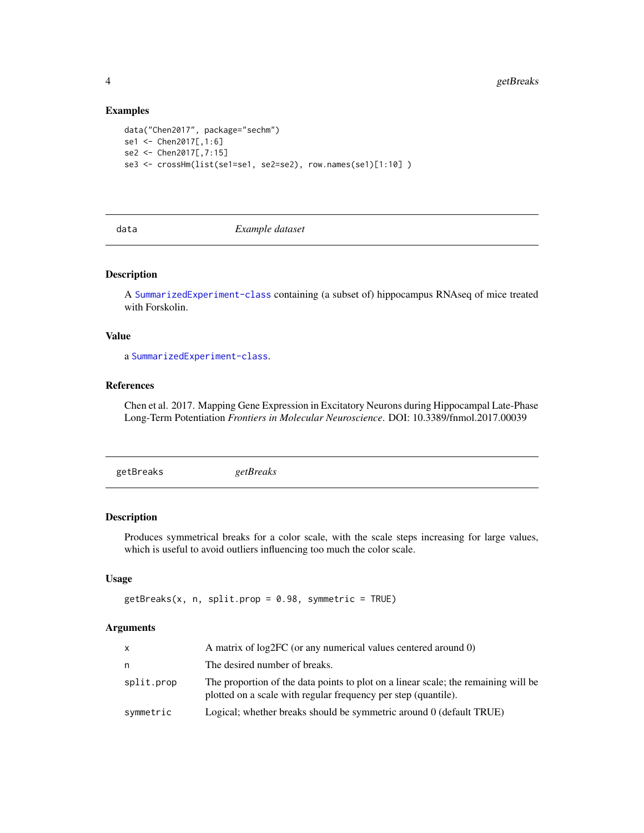#### Examples

```
data("Chen2017", package="sechm")
se1 <- Chen2017[,1:6]
se2 <- Chen2017[,7:15]
se3 <- crossHm(list(se1=se1, se2=se2), row.names(se1)[1:10] )
```
data *Example dataset*

#### Description

A [SummarizedExperiment-class](#page-0-0) containing (a subset of) hippocampus RNAseq of mice treated with Forskolin.

#### Value

a [SummarizedExperiment-class](#page-0-0).

#### References

Chen et al. 2017. Mapping Gene Expression in Excitatory Neurons during Hippocampal Late-Phase Long-Term Potentiation *Frontiers in Molecular Neuroscience*. DOI: 10.3389/fnmol.2017.00039

<span id="page-3-1"></span>

|--|--|

#### Description

Produces symmetrical breaks for a color scale, with the scale steps increasing for large values, which is useful to avoid outliers influencing too much the color scale.

#### Usage

```
getBreaks(x, n, split, prop = 0.98, symmetric = TRUE)
```
#### Arguments

| X          | A matrix of log2FC (or any numerical values centered around 0)                                                                                       |
|------------|------------------------------------------------------------------------------------------------------------------------------------------------------|
| n          | The desired number of breaks.                                                                                                                        |
| split.prop | The proportion of the data points to plot on a linear scale; the remaining will be<br>plotted on a scale with regular frequency per step (quantile). |
| symmetric  | Logical; whether breaks should be symmetric around 0 (default TRUE)                                                                                  |

<span id="page-3-0"></span>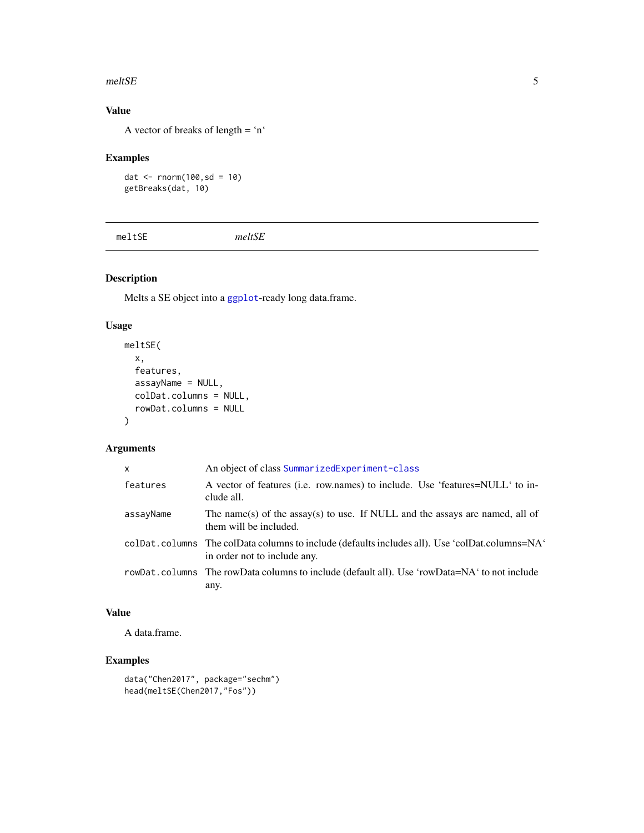#### <span id="page-4-0"></span>meltSE 5

# Value

A vector of breaks of length = 'n'

#### Examples

```
dat \le - rnorm(100,sd = 10)
getBreaks(dat, 10)
```
meltSE *meltSE*

# Description

Melts a SE object into a [ggplot](#page-0-0)-ready long data.frame.

#### Usage

```
meltSE(
  x,
  features,
  assayName = NULL,
  colDat.columns = NULL,
  rowDat.columns = NULL
)
```
#### Arguments

| $\mathsf{x}$ | An object of class SummarizedExperiment-class                                                                                  |
|--------------|--------------------------------------------------------------------------------------------------------------------------------|
| features     | A vector of features (i.e. row.names) to include. Use 'features=NULL' to in-<br>clude all.                                     |
| assayName    | The name(s) of the assay(s) to use. If NULL and the assays are named, all of<br>them will be included.                         |
|              | colDat.columns The colData columns to include (defaults includes all). Use 'colDat.columns=NA'<br>in order not to include any. |
|              | rowDat.columns The rowData columns to include (default all). Use 'rowData=NA' to not include<br>any.                           |

#### Value

A data.frame.

# Examples

```
data("Chen2017", package="sechm")
head(meltSE(Chen2017,"Fos"))
```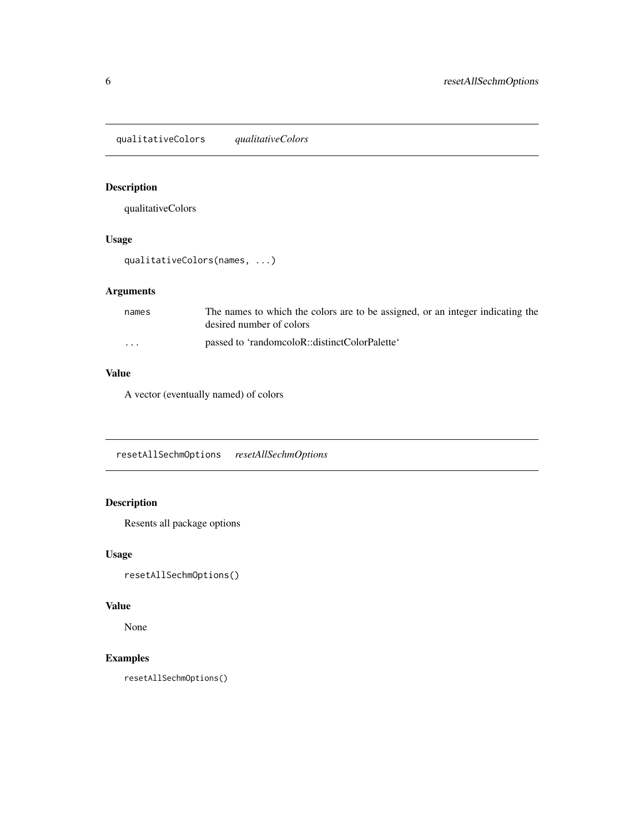<span id="page-5-0"></span>qualitativeColors *qualitativeColors*

# Description

qualitativeColors

#### Usage

qualitativeColors(names, ...)

# Arguments

| names   | The names to which the colors are to be assigned, or an integer indicating the<br>desired number of colors |
|---------|------------------------------------------------------------------------------------------------------------|
| $\cdot$ | passed to 'randomcoloR::distinctColorPalette'                                                              |

# Value

A vector (eventually named) of colors

resetAllSechmOptions *resetAllSechmOptions*

#### Description

Resents all package options

#### Usage

resetAllSechmOptions()

#### Value

None

#### Examples

resetAllSechmOptions()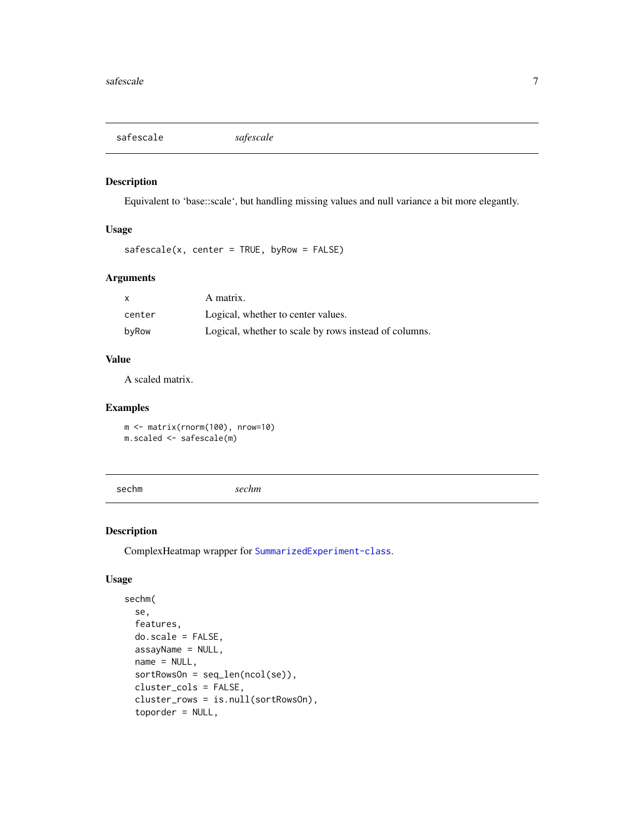<span id="page-6-0"></span>safescale *safescale*

#### Description

Equivalent to 'base::scale', but handling missing values and null variance a bit more elegantly.

#### Usage

```
safescale(x, center = TRUE, byRow = FALSE)
```
#### Arguments

| X      | A matrix.                                             |
|--------|-------------------------------------------------------|
| center | Logical, whether to center values.                    |
| byRow  | Logical, whether to scale by rows instead of columns. |

# Value

A scaled matrix.

#### Examples

m <- matrix(rnorm(100), nrow=10) m.scaled <- safescale(m)

sechm *sechm*

#### Description

ComplexHeatmap wrapper for [SummarizedExperiment-class](#page-0-0).

#### Usage

```
sechm(
  se,
  features,
 do.scale = FALSE,
 assayName = NULL,
 name = NULL,
  sortRowsOn = seq_len(ncol(se)),
 cluster_cols = FALSE,
  cluster_rows = is.null(sortRowsOn),
  toporder = NULL,
```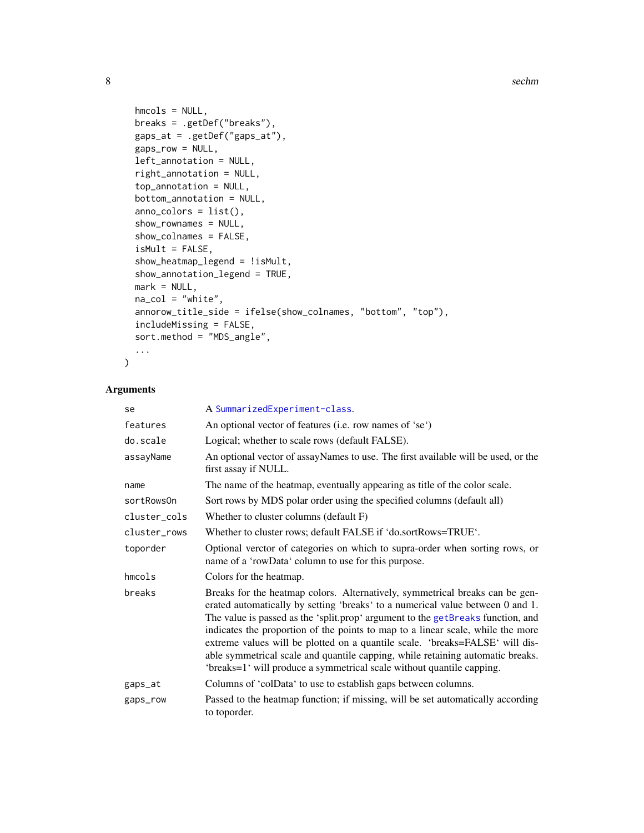```
hmcols = NULL,
 breaks = .getDef("breaks"),
 gaps_at = .getDef("gaps_at"),
 gaps_row = NULL,
 left_annotation = NULL,
  right_annotation = NULL,
  top_annotation = NULL,
 bottom_annotation = NULL,
  anno_colors = list(),
  show_rownames = NULL,
  show_colnames = FALSE,
  isMult = FALSE,
  show_heatmap_legend = !isMult,
  show_annotation_legend = TRUE,
 mark = NULL,na_col = "white",
  annorow_title_side = ifelse(show_colnames, "bottom", "top"),
  includeMissing = FALSE,
 sort.method = "MDS_angle",
  ...
\mathcal{L}
```
#### Arguments

| se           | A SummarizedExperiment-class.                                                                                                                                                                                                                                                                                                                                                                                                                                                                                                                                                   |
|--------------|---------------------------------------------------------------------------------------------------------------------------------------------------------------------------------------------------------------------------------------------------------------------------------------------------------------------------------------------------------------------------------------------------------------------------------------------------------------------------------------------------------------------------------------------------------------------------------|
| features     | An optional vector of features (i.e. row names of 'se')                                                                                                                                                                                                                                                                                                                                                                                                                                                                                                                         |
| do.scale     | Logical; whether to scale rows (default FALSE).                                                                                                                                                                                                                                                                                                                                                                                                                                                                                                                                 |
| assayName    | An optional vector of assayNames to use. The first available will be used, or the<br>first assay if NULL.                                                                                                                                                                                                                                                                                                                                                                                                                                                                       |
| name         | The name of the heatmap, eventually appearing as title of the color scale.                                                                                                                                                                                                                                                                                                                                                                                                                                                                                                      |
| sortRowsOn   | Sort rows by MDS polar order using the specified columns (default all)                                                                                                                                                                                                                                                                                                                                                                                                                                                                                                          |
| cluster cols | Whether to cluster columns (default F)                                                                                                                                                                                                                                                                                                                                                                                                                                                                                                                                          |
| cluster rows | Whether to cluster rows; default FALSE if 'do.sortRows=TRUE'.                                                                                                                                                                                                                                                                                                                                                                                                                                                                                                                   |
| toporder     | Optional verctor of categories on which to supra-order when sorting rows, or<br>name of a 'rowData' column to use for this purpose.                                                                                                                                                                                                                                                                                                                                                                                                                                             |
| hmcols       | Colors for the heatmap.                                                                                                                                                                                                                                                                                                                                                                                                                                                                                                                                                         |
| breaks       | Breaks for the heatmap colors. Alternatively, symmetrical breaks can be gen-<br>erated automatically by setting 'breaks' to a numerical value between 0 and 1.<br>The value is passed as the 'split.prop' argument to the getBreaks function, and<br>indicates the proportion of the points to map to a linear scale, while the more<br>extreme values will be plotted on a quantile scale. 'breaks=FALSE' will dis-<br>able symmetrical scale and quantile capping, while retaining automatic breaks.<br>'breaks=1' will produce a symmetrical scale without quantile capping. |
| gaps_at      | Columns of 'colData' to use to establish gaps between columns.                                                                                                                                                                                                                                                                                                                                                                                                                                                                                                                  |
| gaps_row     | Passed to the heatmap function; if missing, will be set automatically according<br>to toporder.                                                                                                                                                                                                                                                                                                                                                                                                                                                                                 |

<span id="page-7-0"></span>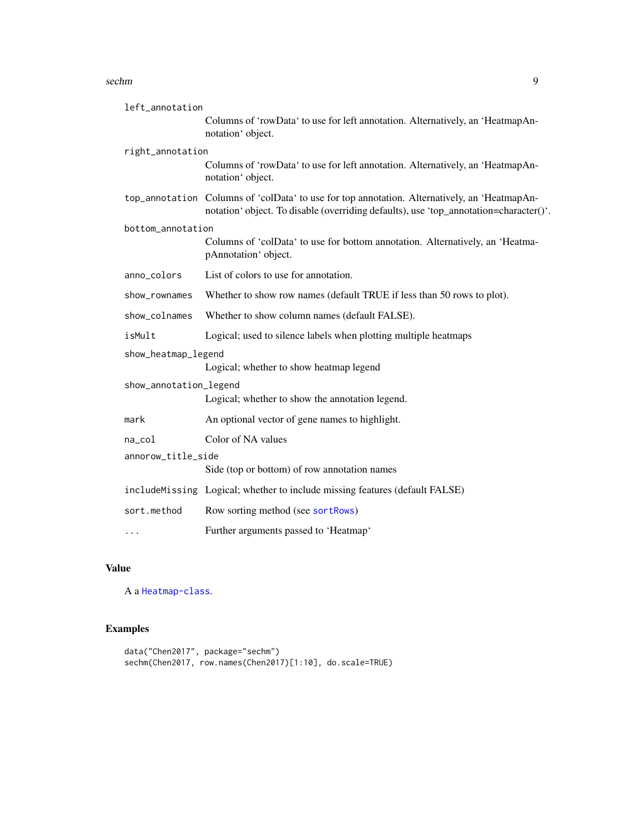#### <span id="page-8-0"></span>sechm 9

| left_annotation        |                                                                                                                                                                                       |  |
|------------------------|---------------------------------------------------------------------------------------------------------------------------------------------------------------------------------------|--|
|                        | Columns of 'rowData' to use for left annotation. Alternatively, an 'HeatmapAn-<br>notation' object.                                                                                   |  |
| right_annotation       |                                                                                                                                                                                       |  |
|                        | Columns of 'rowData' to use for left annotation. Alternatively, an 'HeatmapAn-<br>notation' object.                                                                                   |  |
|                        | top_annotation Columns of 'colData' to use for top annotation. Alternatively, an 'HeatmapAn-<br>notation' object. To disable (overriding defaults), use 'top_annotation=character()'. |  |
| bottom_annotation      |                                                                                                                                                                                       |  |
|                        | Columns of 'colData' to use for bottom annotation. Alternatively, an 'Heatma-<br>pAnnotation' object.                                                                                 |  |
| anno_colors            | List of colors to use for annotation.                                                                                                                                                 |  |
| show_rownames          | Whether to show row names (default TRUE if less than 50 rows to plot).                                                                                                                |  |
| show_colnames          | Whether to show column names (default FALSE).                                                                                                                                         |  |
| isMult                 | Logical; used to silence labels when plotting multiple heatmaps                                                                                                                       |  |
| show_heatmap_legend    |                                                                                                                                                                                       |  |
|                        | Logical; whether to show heatmap legend                                                                                                                                               |  |
| show_annotation_legend |                                                                                                                                                                                       |  |
|                        | Logical; whether to show the annotation legend.                                                                                                                                       |  |
| mark                   | An optional vector of gene names to highlight.                                                                                                                                        |  |
| $na_{col}$             | Color of NA values                                                                                                                                                                    |  |
| annorow_title_side     |                                                                                                                                                                                       |  |
|                        | Side (top or bottom) of row annotation names                                                                                                                                          |  |
|                        | includeMissing Logical; whether to include missing features (default FALSE)                                                                                                           |  |
| sort.method            | Row sorting method (see sortRows)                                                                                                                                                     |  |
| $\cdots$               | Further arguments passed to 'Heatmap'                                                                                                                                                 |  |

#### Value

A a [Heatmap-class](#page-0-0).

# Examples

```
data("Chen2017", package="sechm")
sechm(Chen2017, row.names(Chen2017)[1:10], do.scale=TRUE)
```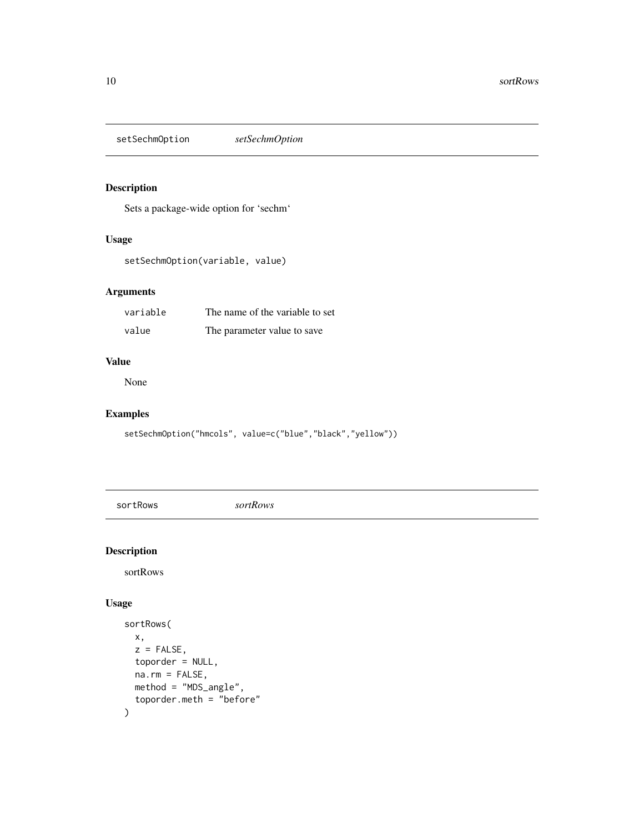<span id="page-9-0"></span>setSechmOption *setSechmOption*

# Description

Sets a package-wide option for 'sechm'

#### Usage

setSechmOption(variable, value)

#### Arguments

| variable | The name of the variable to set |
|----------|---------------------------------|
| value    | The parameter value to save     |

#### Value

None

#### Examples

setSechmOption("hmcols", value=c("blue","black","yellow"))

<span id="page-9-1"></span>sortRows *sortRows*

# Description

sortRows

#### Usage

```
sortRows(
 x,
 z = FALSE,
 toporder = NULL,
 na.rm = FALSE,method = "MDS_angle",
  toporder.meth = "before"
\mathcal{L}
```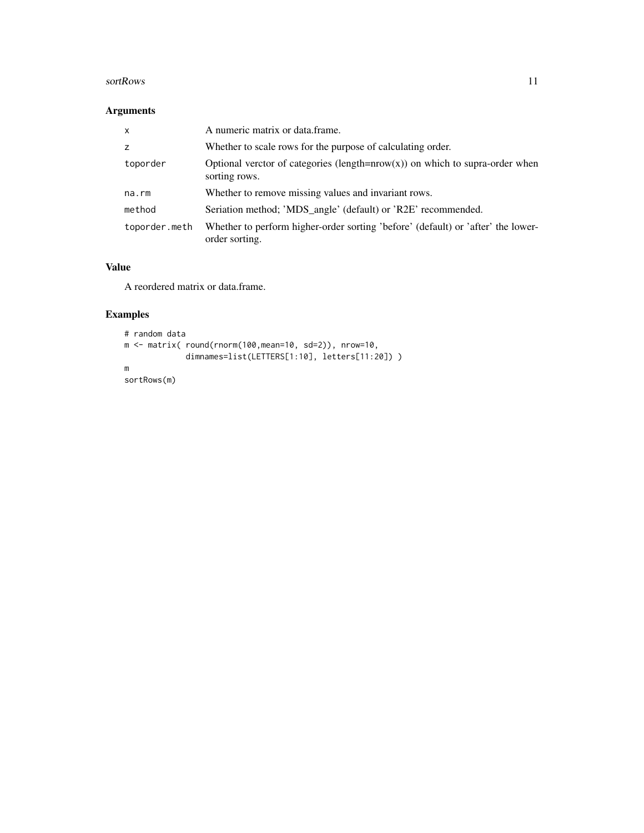#### sortRows 11

#### Arguments

| $\mathsf{x}$  | A numeric matrix or data.frame.                                                                    |
|---------------|----------------------------------------------------------------------------------------------------|
| Z             | Whether to scale rows for the purpose of calculating order.                                        |
| toporder      | Optional verctor of categories (length= $nrow(x)$ ) on which to supra-order when<br>sorting rows.  |
| na.rm         | Whether to remove missing values and invariant rows.                                               |
| method        | Seriation method; 'MDS_angle' (default) or 'R2E' recommended.                                      |
| toporder.meth | Whether to perform higher-order sorting 'before' (default) or 'after' the lower-<br>order sorting. |

#### Value

A reordered matrix or data.frame.

# Examples

```
# random data
m <- matrix( round(rnorm(100,mean=10, sd=2)), nrow=10,
             dimnames=list(LETTERS[1:10], letters[11:20]) )
m
sortRows(m)
```